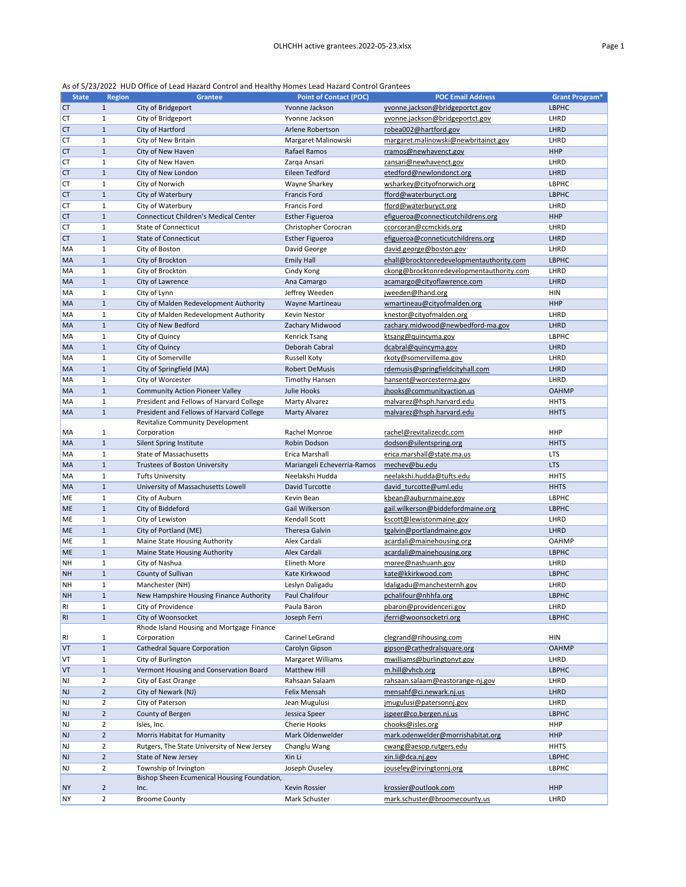As of 5/23/2022 HUD Office of Lead Hazard Control and Healthy Homes Lead Hazard Control Grantees

| <b>State</b> | <b>Region</b>  | <b>Grantee</b>                               | <b>Point of Contact (POC)</b> | <b>POC Email Address</b>                 | <b>Grant Program*</b> |
|--------------|----------------|----------------------------------------------|-------------------------------|------------------------------------------|-----------------------|
| <b>CT</b>    | $\mathbf{1}$   | City of Bridgeport                           | Yvonne Jackson                | yvonne.jackson@bridgeportct.gov          | <b>LBPHC</b>          |
| CT           | $\mathbf{1}$   | City of Bridgeport                           | Yvonne Jackson                | yvonne.jackson@bridgeportct.gov          | LHRD                  |
| <b>CT</b>    | $\mathbf{1}$   | City of Hartford                             | Arlene Robertson              | robea002@hartford.gov                    | LHRD                  |
| СT           | $\mathbf{1}$   | City of New Britain                          | Margaret Malinowski           | margaret.malinowski@newbritainct.gov     | LHRD                  |
| <b>CT</b>    | $\mathbf{1}$   | City of New Haven                            | Rafael Ramos                  | rramos@newhavenct.gov                    | <b>HHP</b>            |
| CT           | $\mathbf{1}$   | City of New Haven                            | Zarqa Ansari                  | zansari@newhavenct.gov                   | LHRD                  |
| <b>CT</b>    | $\mathbf{1}$   | City of New London                           | Eileen Tedford                | etedford@newlondonct.org                 | LHRD                  |
| CT           | $\mathbf{1}$   | City of Norwich                              | Wayne Sharkey                 | wsharkey@cityofnorwich.org               | <b>LBPHC</b>          |
| <b>CT</b>    | $\mathbf{1}$   | City of Waterbury                            | <b>Francis Ford</b>           | fford@waterburyct.org                    | <b>LBPHC</b>          |
| <b>CT</b>    | $\mathbf{1}$   | City of Waterbury                            | <b>Francis Ford</b>           | fford@waterburyct.org                    | LHRD                  |
|              |                | <b>Connecticut Children's Medical Center</b> |                               |                                          | <b>HHP</b>            |
| <b>CT</b>    | $\mathbf{1}$   |                                              | <b>Esther Figueroa</b>        | efigueroa@connecticutchildrens.org       |                       |
| <b>CT</b>    | $\mathbf{1}$   | <b>State of Connecticut</b>                  | Christopher Corocran          | ccorcoran@ccmckids.org                   | LHRD                  |
| <b>CT</b>    | $\mathbf{1}$   | <b>State of Connecticut</b>                  | <b>Esther Figueroa</b>        | efigueroa@conneticutchildrens.org        | LHRD                  |
| MA           | $\mathbf{1}$   | City of Boston                               | David George                  | david.george@boston.gov                  | LHRD                  |
| MA           | $\mathbf{1}$   | City of Brockton                             | <b>Emily Hall</b>             | ehall@brocktonredevelopmentauthority.com | <b>LBPHC</b>          |
| MA           | $\mathbf{1}$   | City of Brockton                             | Cindy Kong                    | ckong@brocktonredevelopmentauthority.com | LHRD                  |
| <b>MA</b>    | $\mathbf{1}$   | City of Lawrence                             | Ana Camargo                   | acamargo@cityoflawrence.com              | LHRD                  |
| MA           | $\mathbf{1}$   | City of Lynn                                 | Jeffrey Weeden                | jweeden@lhand.org                        | <b>HIN</b>            |
| MA           | $\mathbf{1}$   | City of Malden Redevelopment Authority       | Wayne Martineau               | wmartineau@cityofmalden.org              | <b>HHP</b>            |
| MA           | $\mathbf{1}$   | City of Malden Redevelopment Authority       | <b>Kevin Nestor</b>           | knestor@cityofmalden.org                 | LHRD                  |
| <b>MA</b>    | $\mathbf{1}$   | City of New Bedford                          | Zachary Midwood               | zachary.midwood@newbedford-ma.gov        | <b>LHRD</b>           |
| MA           | $\mathbf{1}$   | City of Quincy                               | <b>Kenrick Tsang</b>          | ktsang@quincyma.gov                      | <b>LBPHC</b>          |
| MA           | $\mathbf{1}$   | City of Quincy                               | Deborah Cabral                | dcabral@quincyma.gov                     | LHRD                  |
| MA           | $\mathbf{1}$   | City of Somerville                           | <b>Russell Koty</b>           | rkoty@somervillema.gov                   | LHRD                  |
| MA           | $\mathbf{1}$   | City of Springfield (MA)                     | <b>Robert DeMusis</b>         | rdemusis@springfieldcityhall.com         | LHRD                  |
| MA           | $\mathbf{1}$   | City of Worcester                            | <b>Timothy Hansen</b>         | hansent@worcesterma.gov                  | LHRD                  |
| MA           | $\mathbf{1}$   | <b>Community Action Pioneer Valley</b>       | Julie Hooks                   | jhooks@communityaction.us                | <b>OAHMP</b>          |
| MA           | $\mathbf{1}$   | President and Fellows of Harvard College     | <b>Marty Alvarez</b>          | malvarez@hsph.harvard.edu                | <b>HHTS</b>           |
| <b>MA</b>    | $\mathbf{1}$   | President and Fellows of Harvard College     | <b>Marty Alvarez</b>          | malvarez@hsph.harvard.edu                | <b>HHTS</b>           |
|              |                | <b>Revitalize Community Development</b>      |                               |                                          |                       |
| MA           |                | Corporation                                  | Rachel Monroe                 | rachel@revitalizecdc.com                 | <b>HHP</b>            |
| <b>MA</b>    | $\mathbf{1}$   | Silent Spring Institute                      | Robin Dodson                  | dodson@silentspring.org                  | <b>HHTS</b>           |
| MA           | $\mathbf{1}$   | <b>State of Massachusetts</b>                | Erica Marshall                | erica.marshall@state.ma.us               | <b>LTS</b>            |
| MA           | $\mathbf{1}$   | Trustees of Boston University                | Mariangeli Echeverria-Ramos   | mechev@bu.edu                            | <b>LTS</b>            |
| MA           | $\mathbf{1}$   | <b>Tufts University</b>                      | Neelakshi Hudda               | neelakshi.hudda@tufts.edu                | <b>HHTS</b>           |
| <b>MA</b>    | $\mathbf{1}$   | University of Massachusetts Lowell           | David Turcotte                | david turcotte@uml.edu                   | <b>HHTS</b>           |
| ME           | $\mathbf{1}$   | City of Auburn                               | Kevin Bean                    | kbean@auburnmaine.gov                    | LBPHC                 |
| <b>ME</b>    | $\mathbf{1}$   | City of Biddeford                            | Gail Wilkerson                | gail.wilkerson@biddefordmaine.org        | <b>LBPHC</b>          |
| ME           | $\mathbf{1}$   | City of Lewiston                             | Kendall Scott                 | kscott@lewistonmaine.gov                 | LHRD                  |
| <b>ME</b>    | $\mathbf{1}$   | City of Portland (ME)                        | <b>Theresa Galvin</b>         | tgalvin@portlandmaine.gov                | <b>LHRD</b>           |
| ME           | $\mathbf{1}$   | Maine State Housing Authority                | Alex Cardali                  | acardali@mainehousing.org                | <b>OAHMP</b>          |
| <b>ME</b>    | $\mathbf{1}$   | Maine State Housing Authority                | Alex Cardali                  | acardali@mainehousing.org                | <b>LBPHC</b>          |
| NΗ           | 1              | City of Nashua                               | Elineth More                  |                                          | LHRD                  |
|              |                |                                              |                               | moree@nashuanh.gov                       |                       |
| <b>NH</b>    | $\mathbf{1}$   | County of Sullivan                           | Kate Kirkwood                 | kate@kkirkwood.com                       | <b>LBPHC</b>          |
| <b>NH</b>    | $\mathbf{1}$   | Manchester (NH)                              | Leslyn Daligadu               | Idaligadu@manchesternh.gov               | LHRD                  |
| <b>NH</b>    | $\mathbf{1}$   | New Hampshire Housing Finance Authority      | Paul Chalifour                | pchalifour@nhhfa.org                     | <b>LBPHC</b>          |
| RI           | $\mathbf{1}$   | City of Providence                           | Paula Baron                   | pbaron@providenceri.gov                  | LHRD                  |
| RI           | $\mathbf{1}$   | City of Woonsocket                           | Joseph Ferri                  | jferri@woonsocketri.org                  | <b>LBPHC</b>          |
|              |                | Rhode Island Housing and Mortgage Finance    |                               |                                          | <b>HIN</b>            |
| RI           | $\mathbf{1}$   | Corporation                                  | Carinel LeGrand               | clegrand@rihousing.com                   |                       |
| VT           | $\mathbf{1}$   | <b>Cathedral Square Corporation</b>          | Carolyn Gipson                | gipson@cathedralsquare.org               | <b>OAHMP</b>          |
| VT           | 1              | City of Burlington                           | Margaret Williams             | mwilliams@burlingtonvt.gov               | LHRD                  |
| VT           | $\mathbf{1}$   | Vermont Housing and Conservation Board       | <b>Matthew Hill</b>           | m.hill@vhcb.org                          | <b>LBPHC</b>          |
| NJ           | $\overline{2}$ | City of East Orange                          | Rahsaan Salaam                | rahsaan.salaam@eastorange-nj.gov         | LHRD                  |
| <b>NJ</b>    | $\overline{2}$ | City of Newark (NJ)                          | Felix Mensah                  | mensahf@ci.newark.nj.us                  | <b>LHRD</b>           |
| NJ           | $\overline{2}$ | City of Paterson                             | Jean Mugulusi                 | jmugulusi@patersonnj.gov                 | LHRD                  |
| <b>NJ</b>    | $\overline{2}$ | County of Bergen                             | Jessica Speer                 | jspeer@co.bergen.nj.us                   | <b>LBPHC</b>          |
| NJ           | 2              | Isles, Inc.                                  | <b>Cherie Hooks</b>           | chooks@isles.org                         | <b>HHP</b>            |
| <b>NJ</b>    | $\overline{2}$ | Morris Habitat for Humanity                  | Mark Oldenwelder              | mark.odenwelder@morrishabitat.org        | <b>HHP</b>            |
| NJ           | $\overline{2}$ | Rutgers, The State University of New Jersey  | Changlu Wang                  | cwang@aesop.rutgers.edu                  | <b>HHTS</b>           |
| <b>NJ</b>    | $\overline{2}$ | State of New Jersey                          | Xin Li                        | xin.li@dca.nj.gov                        | <b>LBPHC</b>          |
| NJ           | $\overline{2}$ | Township of Irvington                        | Joseph Ouseley                | jouseley@irvingtonnj.org                 | <b>LBPHC</b>          |
|              |                | Bishop Sheen Ecumenical Housing Foundation,  |                               |                                          |                       |
| <b>NY</b>    | $\overline{2}$ | Inc.                                         | Kevin Rossier                 | krossier@outlook.com                     | <b>HHP</b>            |
| <b>NY</b>    | $\overline{2}$ | <b>Broome County</b>                         | Mark Schuster                 | mark.schuster@broomecounty.us            | LHRD                  |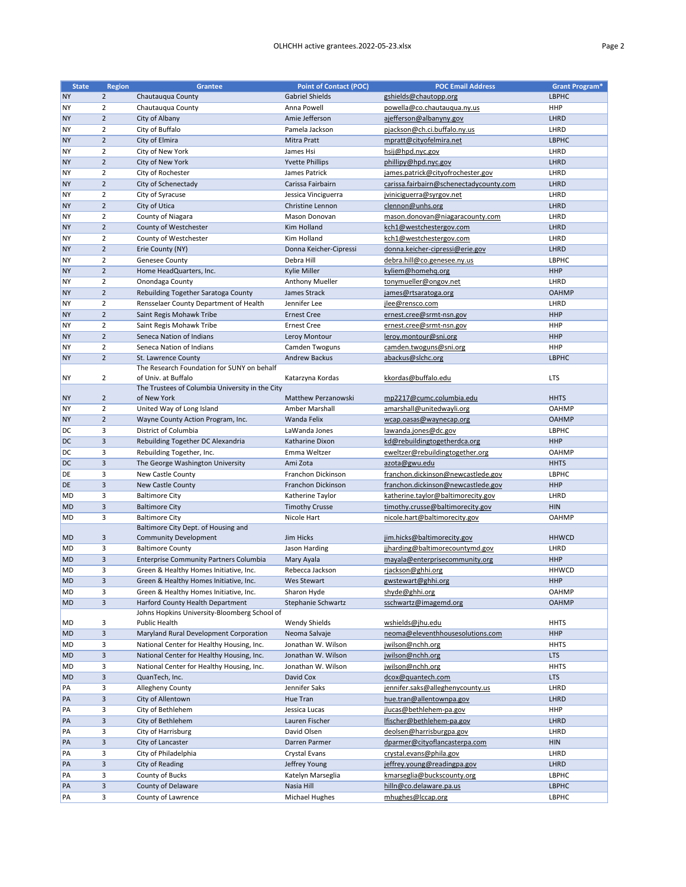| <b>State</b> | <b>Region</b>  | <b>Grantee</b>                                                    | <b>Point of Contact (POC)</b> | <b>POC Email Address</b>                | <b>Grant Program*</b> |
|--------------|----------------|-------------------------------------------------------------------|-------------------------------|-----------------------------------------|-----------------------|
| <b>NY</b>    | $\overline{2}$ | Chautauqua County                                                 | <b>Gabriel Shields</b>        | gshields@chautopp.org                   | <b>LBPHC</b>          |
| <b>NY</b>    | $\overline{2}$ | Chautauqua County                                                 | Anna Powell                   | powella@co.chautauqua.ny.us             | <b>HHP</b>            |
| <b>NY</b>    | $\overline{2}$ | City of Albany                                                    | Amie Jefferson                | ajefferson@albanyny.gov                 | LHRD                  |
| <b>NY</b>    | $\overline{2}$ | City of Buffalo                                                   | Pamela Jackson                | pjackson@ch.ci.buffalo.ny.us            | LHRD                  |
| <b>NY</b>    | $\overline{2}$ | City of Elmira                                                    | <b>Mitra Pratt</b>            | mpratt@cityofelmira.net                 | <b>LBPHC</b>          |
| <b>NY</b>    | $\overline{2}$ | City of New York                                                  | James Hsi                     | hsij@hpd.nyc.gov                        | LHRD                  |
| <b>NY</b>    | $\overline{2}$ | City of New York                                                  | <b>Yvette Phillips</b>        | phillipy@hpd.nyc.gov                    | LHRD                  |
| <b>NY</b>    | $\overline{2}$ | City of Rochester                                                 | James Patrick                 | james.patrick@cityofrochester.gov       | LHRD                  |
| <b>NY</b>    | $\overline{2}$ | City of Schenectady                                               | Carissa Fairbairn             | carissa.fairbairn@schenectadycounty.com | LHRD                  |
| <b>NY</b>    | $\overline{2}$ | City of Syracuse                                                  | Jessica Vinciguerra           | jviniciguerra@syrgov.net                | LHRD                  |
| <b>NY</b>    | $\overline{2}$ | City of Utica                                                     | Christine Lennon              | clennon@unhs.org                        | LHRD                  |
| <b>NY</b>    | $\overline{2}$ | County of Niagara                                                 | Mason Donovan                 | mason.donovan@niagaracounty.com         | LHRD                  |
| <b>NY</b>    | $\overline{2}$ | County of Westchester                                             | Kim Holland                   | kch1@westchestergov.com                 | LHRD                  |
| <b>NY</b>    | $\overline{2}$ | County of Westchester                                             | Kim Holland                   | kch1@westchestergov.com                 | LHRD                  |
| <b>NY</b>    | $\overline{2}$ | Erie County (NY)                                                  | Donna Keicher-Cipressi        | donna.keicher-cipressi@erie.gov         | LHRD                  |
| <b>NY</b>    | $\overline{2}$ | <b>Genesee County</b>                                             | Debra Hill                    | debra.hill@co.genesee.ny.us             | <b>LBPHC</b>          |
| <b>NY</b>    | $\overline{2}$ | Home HeadQuarters, Inc.                                           | Kylie Miller                  | kyliem@homehq.org                       | <b>HHP</b>            |
| <b>NY</b>    | $\overline{2}$ | Onondaga County                                                   | <b>Anthony Mueller</b>        | tonymueller@ongov.net                   | LHRD                  |
| <b>NY</b>    | $\overline{2}$ | Rebuilding Together Saratoga County                               | James Strack                  | james@rtsaratoga.org                    | <b>OAHMP</b>          |
| <b>NY</b>    | $\overline{2}$ | Rensselaer County Department of Health                            | Jennifer Lee                  | jlee@rensco.com                         | LHRD                  |
| <b>NY</b>    | $\overline{2}$ | Saint Regis Mohawk Tribe                                          | <b>Ernest Cree</b>            | ernest.cree@srmt-nsn.gov                | <b>HHP</b>            |
| <b>NY</b>    | $\overline{2}$ | Saint Regis Mohawk Tribe                                          | <b>Ernest Cree</b>            | ernest.cree@srmt-nsn.gov                | <b>HHP</b>            |
| <b>NY</b>    | $\overline{2}$ | Seneca Nation of Indians                                          | Leroy Montour                 | leroy.montour@sni.org                   | <b>HHP</b>            |
| <b>NY</b>    | $\overline{2}$ | Seneca Nation of Indians                                          | Camden Twoguns                |                                         | <b>HHP</b>            |
| <b>NY</b>    | $\overline{2}$ |                                                                   | <b>Andrew Backus</b>          | camden.twoguns@sni.org                  | <b>LBPHC</b>          |
|              |                | St. Lawrence County<br>The Research Foundation for SUNY on behalf |                               | abackus@slchc.org                       |                       |
| <b>NY</b>    | $\overline{2}$ | of Univ. at Buffalo                                               | Katarzyna Kordas              | kkordas@buffalo.edu                     | <b>LTS</b>            |
|              |                | The Trustees of Columbia University in the City                   |                               |                                         |                       |
| <b>NY</b>    | $\overline{2}$ | of New York                                                       | <b>Matthew Perzanowski</b>    | mp2217@cumc.columbia.edu                | <b>HHTS</b>           |
| <b>NY</b>    | $\overline{2}$ | United Way of Long Island                                         | Amber Marshall                | amarshall@unitedwayli.org               | <b>OAHMP</b>          |
| <b>NY</b>    | $\overline{2}$ | Wayne County Action Program, Inc.                                 | Wanda Felix                   | wcap.oasas@waynecap.org                 | <b>OAHMP</b>          |
| DC           | 3              | District of Columbia                                              | LaWanda Jones                 | lawanda.jones@dc.gov                    | <b>LBPHC</b>          |
| DC           | 3              | Rebuilding Together DC Alexandria                                 | Katharine Dixon               | kd@rebuildingtogetherdca.org            | <b>HHP</b>            |
| DC           | 3              | Rebuilding Together, Inc.                                         | Emma Weltzer                  | eweltzer@rebuildingtogether.org         | <b>OAHMP</b>          |
| DC           | 3              | The George Washington University                                  | Ami Zota                      | azota@gwu.edu                           | <b>HHTS</b>           |
| DE           | 3              | New Castle County                                                 | Franchon Dickinson            | franchon.dickinson@newcastlede.gov      | <b>LBPHC</b>          |
| DE           | 3              | New Castle County                                                 | Franchon Dickinson            | franchon.dickinson@newcastlede.gov      | <b>HHP</b>            |
| MD           | 3              | <b>Baltimore City</b>                                             | Katherine Taylor              | katherine.taylor@baltimorecity.gov      | LHRD                  |
| <b>MD</b>    | 3              | <b>Baltimore City</b>                                             | <b>Timothy Crusse</b>         | timothy.crusse@baltimorecity.gov        | <b>HIN</b>            |
| MD           | 3              | <b>Baltimore City</b>                                             | Nicole Hart                   | nicole.hart@baltimorecity.gov           | <b>OAHMP</b>          |
|              |                | Baltimore City Dept. of Housing and                               |                               |                                         |                       |
| MD           | 3              | <b>Community Development</b>                                      | Jim Hicks                     | jim.hicks@baltimorecity.gov             | <b>HHWCD</b>          |
| MD           | 3              | <b>Baltimore County</b>                                           | Jason Harding                 | jjharding@baltimorecountymd.gov         | LHRD                  |
| <b>MD</b>    | 3              | <b>Enterprise Community Partners Columbia</b>                     | Mary Ayala                    | mayala@enterprisecommunity.org          | <b>HHP</b>            |
| MD           | 3              | Green & Healthy Homes Initiative, Inc.                            | Rebecca Jackson               | rjackson@ghhi.org                       | <b>HHWCD</b>          |
| <b>MD</b>    | 3              | Green & Healthy Homes Initiative, Inc.                            | <b>Wes Stewart</b>            | gwstewart@ghhi.org                      | <b>HHP</b>            |
| MD           | 3              | Green & Healthy Homes Initiative, Inc.                            | Sharon Hyde                   | shyde@ghhi.org                          | <b>OAHMP</b>          |
| <b>MD</b>    | $\mathsf{3}$   | Harford County Health Department                                  | Stephanie Schwartz            | sschwartz@imagemd.org                   | <b>OAHMP</b>          |
|              |                | Johns Hopkins University-Bloomberg School of                      |                               |                                         |                       |
| MD           | 3              | Public Health                                                     | Wendy Shields                 | wshields@jhu.edu                        | <b>HHTS</b>           |
| <b>MD</b>    | 3              | Maryland Rural Development Corporation                            | Neoma Salvaje                 | neoma@eleventhhousesolutions.com        | <b>HHP</b>            |
| MD           | 3              | National Center for Healthy Housing, Inc.                         | Jonathan W. Wilson            | jwilson@nchh.org                        | <b>HHTS</b>           |
| <b>MD</b>    | 3              | National Center for Healthy Housing, Inc.                         | Jonathan W. Wilson            | jwilson@nchh.org                        | <b>LTS</b>            |
| MD           | 3              | National Center for Healthy Housing, Inc.                         | Jonathan W. Wilson            | jwilson@nchh.org                        | <b>HHTS</b>           |
| MD           | 3              | QuanTech, Inc.                                                    | David Cox                     | dcox@quantech.com                       | <b>LTS</b>            |
| In A         |                | Alloghony County                                                  | <b>Longifor Colco</b>         | ionnifer cake@alloghonycounty us        | IUDD                  |

| <b>PA</b> |   | Allegheny County     | Jennifer Saks     | jennifer.saks@alleghenycounty.us | LHRD         |
|-----------|---|----------------------|-------------------|----------------------------------|--------------|
| PA        |   | City of Allentown    | Hue Tran          | hue.tran@allentownpa.gov         | <b>LHRD</b>  |
| PA        | 3 | City of Bethlehem    | Jessica Lucas     | jlucas@bethlehem-pa.gov          | <b>HHP</b>   |
| PA        |   | City of Bethlehem    | Lauren Fischer    | lfischer@bethlehem-pa.gov        | <b>LHRD</b>  |
| PA        | 3 | City of Harrisburg   | David Olsen       | deolsen@harrisburgpa.gov         | LHRD         |
| <b>PA</b> | з | City of Lancaster    | Darren Parmer     | dparmer@cityoflancasterpa.com    | <b>HIN</b>   |
| <b>PA</b> | 3 | City of Philadelphia | Crystal Evans     | crystal.evans@phila.gov          | LHRD         |
| <b>PA</b> |   | City of Reading      | Jeffrey Young     | jeffrey.young@readingpa.gov      | <b>LHRD</b>  |
| <b>PA</b> | 3 | County of Bucks      | Katelyn Marseglia | kmarseglia@buckscounty.org       | <b>LBPHC</b> |
| PA        |   | County of Delaware   | Nasia Hill        | hilln@co.delaware.pa.us          | <b>LBPHC</b> |
| <b>PA</b> |   | County of Lawrence   | Michael Hughes    | mhughes@lccap.org                | LBPHC        |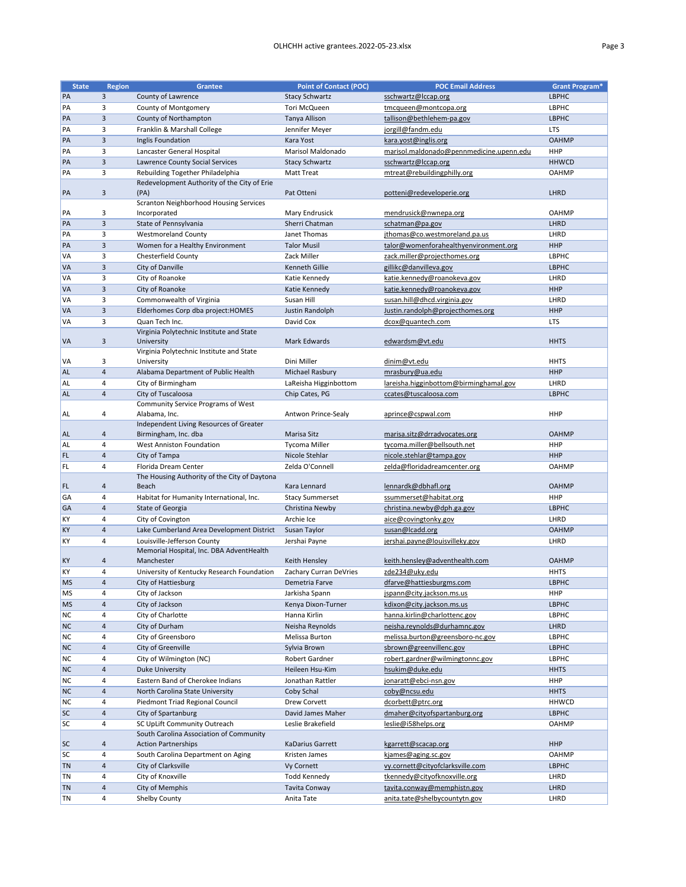| <b>State</b> | <b>Region</b>  | <b>Grantee</b>                                | <b>Point of Contact (POC)</b> | <b>POC Email Address</b>                 | <b>Grant Program*</b> |
|--------------|----------------|-----------------------------------------------|-------------------------------|------------------------------------------|-----------------------|
| PA           | 3              | County of Lawrence                            | <b>Stacy Schwartz</b>         | sschwartz@lccap.org                      | <b>LBPHC</b>          |
|              |                |                                               |                               |                                          |                       |
| PA           | 3              | County of Montgomery                          | Tori McQueen                  | tmcqueen@montcopa.org                    | LBPHC                 |
| PA           | 3              | County of Northampton                         | <b>Tanya Allison</b>          | tallison@bethlehem-pa.gov                | <b>LBPHC</b>          |
| PA           | 3              | Franklin & Marshall College                   | Jennifer Meyer                | jorgill@fandm.edu                        | <b>LTS</b>            |
| PA           | 3              | Inglis Foundation                             | Kara Yost                     | kara.yost@inglis.org                     | <b>OAHMP</b>          |
| PA           | 3              | Lancaster General Hospital                    | Marisol Maldonado             | marisol.maldonado@pennmedicine.upenn.edu | <b>HHP</b>            |
| PA           | 3              | Lawrence County Social Services               | <b>Stacy Schwartz</b>         | sschwartz@lccap.org                      | <b>HHWCD</b>          |
|              |                |                                               |                               |                                          |                       |
| PA           | 3              | Rebuilding Together Philadelphia              | <b>Matt Treat</b>             | mtreat@rebuildingphilly.org              | <b>OAHMP</b>          |
|              |                | Redevelopment Authority of the City of Erie   |                               |                                          |                       |
| PA           | $\mathsf{3}$   | (PA)                                          | Pat Otteni                    | potteni@redeveloperie.org                | <b>LHRD</b>           |
|              |                | <b>Scranton Neighborhood Housing Services</b> |                               |                                          |                       |
| PA           | 3              | Incorporated                                  | Mary Endrusick                | mendrusick@nwnepa.org                    | <b>OAHMP</b>          |
| PA           | 3              | State of Pennsylvania                         | Sherri Chatman                | schatman@pa.gov                          | <b>LHRD</b>           |
| PA           | 3              | <b>Westmoreland County</b>                    | Janet Thomas                  | jthomas@co.westmoreland.pa.us            | LHRD                  |
| PA           | 3              | Women for a Healthy Environment               | <b>Talor Musil</b>            | talor@womenforahealthyenvironment.org    | <b>HHP</b>            |
|              |                |                                               |                               |                                          |                       |
| VA           | 3              | Chesterfield County                           | Zack Miller                   | zack.miller@projecthomes.org             | <b>LBPHC</b>          |
| VA           | 3              | City of Danville                              | <b>Kenneth Gillie</b>         | gillikc@danvilleva.gov                   | <b>LBPHC</b>          |
| VA           | 3              | City of Roanoke                               | Katie Kennedy                 | katie.kennedy@roanokeva.gov              | LHRD                  |
| VA           | $\overline{3}$ | City of Roanoke                               | Katie Kennedy                 | katie.kennedy@roanokeva.gov              | <b>HHP</b>            |
| VA           | 3              | Commonwealth of Virginia                      | Susan Hill                    | susan.hill@dhcd.virginia.gov             | LHRD                  |
| VA           | 3              | Elderhomes Corp dba project: HOMES            | Justin Randolph               | Justin.randolph@projecthomes.org         | <b>HHP</b>            |
|              |                |                                               |                               |                                          |                       |
| VA           | 3              | Quan Tech Inc.                                | David Cox                     | dcox@quantech.com                        | <b>LTS</b>            |
|              |                | Virginia Polytechnic Institute and State      |                               |                                          |                       |
| VA           | 3              | University                                    | Mark Edwards                  | edwardsm@vt.edu                          | <b>HHTS</b>           |
|              |                | Virginia Polytechnic Institute and State      |                               |                                          |                       |
| VA           | 3              | University                                    | Dini Miller                   | dinim@vt.edu                             | <b>HHTS</b>           |
| <b>AL</b>    | $\overline{4}$ | Alabama Department of Public Health           | Michael Rasbury               | mrasbury@ua.edu                          | <b>HHP</b>            |
| <b>AL</b>    | 4              | City of Birmingham                            | LaReisha Higginbottom         | lareisha.higginbottom@birminghamal.gov   | LHRD                  |
| <b>AL</b>    | $\overline{4}$ | City of Tuscaloosa                            | Chip Cates, PG                | ccates@tuscaloosa.com                    | <b>LBPHC</b>          |
|              |                |                                               |                               |                                          |                       |
|              |                | Community Service Programs of West            |                               |                                          |                       |
| AL           | 4              | Alabama, Inc.                                 | Antwon Prince-Sealy           | aprince@cspwal.com                       | <b>HHP</b>            |
|              |                | Independent Living Resources of Greater       |                               |                                          |                       |
| <b>AL</b>    | 4              | Birmingham, Inc. dba                          | Marisa Sitz                   | marisa.sitz@drradvocates.org             | <b>OAHMP</b>          |
| <b>AL</b>    | 4              | <b>West Anniston Foundation</b>               | <b>Tycoma Miller</b>          | tycoma.miller@bellsouth.net              | <b>HHP</b>            |
| FL.          | 4              | City of Tampa                                 | Nicole Stehlar                | nicole.stehlar@tampa.gov                 | <b>HHP</b>            |
| FL           | 4              | Florida Dream Center                          | Zelda O'Connell               | zelda@floridadreamcenter.org             | <b>OAHMP</b>          |
|              |                | The Housing Authority of the City of Daytona  |                               |                                          |                       |
| FL           | 4              | Beach                                         | Kara Lennard                  | lennardk@dbhafl.org                      | <b>OAHMP</b>          |
| GA           | 4              | Habitat for Humanity International, Inc.      | <b>Stacy Summerset</b>        | ssummerset@habitat.org                   | <b>HHP</b>            |
|              |                |                                               |                               |                                          |                       |
| GA           | $\overline{4}$ | State of Georgia                              | Christina Newby               | christina.newby@dph.ga.gov               | <b>LBPHC</b>          |
| KY           | 4              | City of Covington                             | Archie Ice                    | aice@covingtonky.gov                     | LHRD                  |
| KY           | 4              | Lake Cumberland Area Development District     | Susan Taylor                  | susan@lcadd.org                          | <b>OAHMP</b>          |
| KY           | 4              | Louisville-Jefferson County                   | Jershai Payne                 | jershai.payne@louisvilleky.gov           | LHRD                  |
|              |                | Memorial Hospital, Inc. DBA AdventHealth      |                               |                                          |                       |
| <b>KY</b>    | 4              | Manchester                                    | Keith Hensley                 | keith.hensley@adventhealth.com           | <b>OAHMP</b>          |
| KY           | 4              | University of Kentucky Research Foundation    | Zachary Curran DeVries        | zde234@uky.edu                           | <b>HHTS</b>           |
|              |                |                                               |                               |                                          |                       |
| <b>MS</b>    | 4              | City of Hattiesburg                           | Demetria Farve                | dfarve@hattiesburgms.com                 | <b>LBPHC</b>          |
| MS           | 4              | City of Jackson                               | Jarkisha Spann                | jspann@city.jackson.ms.us                | <b>HHP</b>            |
| <b>MS</b>    | $\overline{4}$ | City of Jackson                               | Kenya Dixon-Turner            | kdixon@city.jackson.ms.us                | <b>LBPHC</b>          |
| <b>NC</b>    | 4              | City of Charlotte                             | Hanna Kirlin                  | hanna.kirlin@charlottenc.gov             | LBPHC                 |
| <b>NC</b>    | $\overline{4}$ | City of Durham                                | Neisha Reynolds               | neisha.reynolds@durhamnc.gov             | LHRD                  |
| <b>NC</b>    | 4              | City of Greensboro                            | Melissa Burton                | melissa.burton@greensboro-nc.gov         | LBPHC                 |
| <b>NC</b>    | $\overline{4}$ | City of Greenville                            | Sylvia Brown                  |                                          | <b>LBPHC</b>          |
|              |                |                                               |                               | sbrown@greenvillenc.gov                  |                       |
| <b>NC</b>    | 4              | City of Wilmington (NC)                       | Robert Gardner                | robert.gardner@wilmingtonnc.gov          | LBPHC                 |
| <b>NC</b>    | 4              | <b>Duke University</b>                        | Heileen Hsu-Kim               | hsukim@duke.edu                          | <b>HHTS</b>           |
| <b>NC</b>    | 4              | Eastern Band of Cherokee Indians              | Jonathan Rattler              | jonaratt@ebci-nsn.gov                    | <b>HHP</b>            |
| <b>NC</b>    | $\overline{4}$ | North Carolina State University               | Coby Schal                    | coby@ncsu.edu                            | <b>HHTS</b>           |
| <b>NC</b>    | 4              | Piedmont Triad Regional Council               | Drew Corvett                  | dcorbett@ptrc.org                        | <b>HHWCD</b>          |
| <b>SC</b>    | $\overline{4}$ | City of Spartanburg                           | David James Maher             | dmaher@cityofspartanburg.org             | <b>LBPHC</b>          |
|              |                |                                               |                               |                                          |                       |
| <b>SC</b>    | 4              | SC UpLift Community Outreach                  | Leslie Brakefield             | leslie@i58helps.org                      | <b>OAHMP</b>          |
|              |                | South Carolina Association of Community       |                               |                                          |                       |
| <b>SC</b>    | 4              | <b>Action Partnerships</b>                    | <b>KaDarius Garrett</b>       | kgarrett@scacap.org                      | <b>HHP</b>            |
| <b>SC</b>    | 4              | South Carolina Department on Aging            | Kristen James                 | kjames@aging.sc.gov                      | <b>OAHMP</b>          |
| <b>TN</b>    | $\overline{4}$ | City of Clarksville                           | Vy Cornett                    | vy.cornett@cityofclarksville.com         | LBPHC                 |
| TN           | 4              | City of Knoxville                             | <b>Todd Kennedy</b>           | tkennedy@cityofknoxville.org             | LHRD                  |
| <b>TN</b>    |                | City of Memphis                               |                               |                                          |                       |
|              | $\overline{4}$ |                                               | Tavita Conway                 | tavita.conway@memphistn.gov              | <b>LHRD</b>           |
| <b>TN</b>    | 4              | Shelby County                                 | Anita Tate                    | anita.tate@shelbycountytn.gov            | LHRD                  |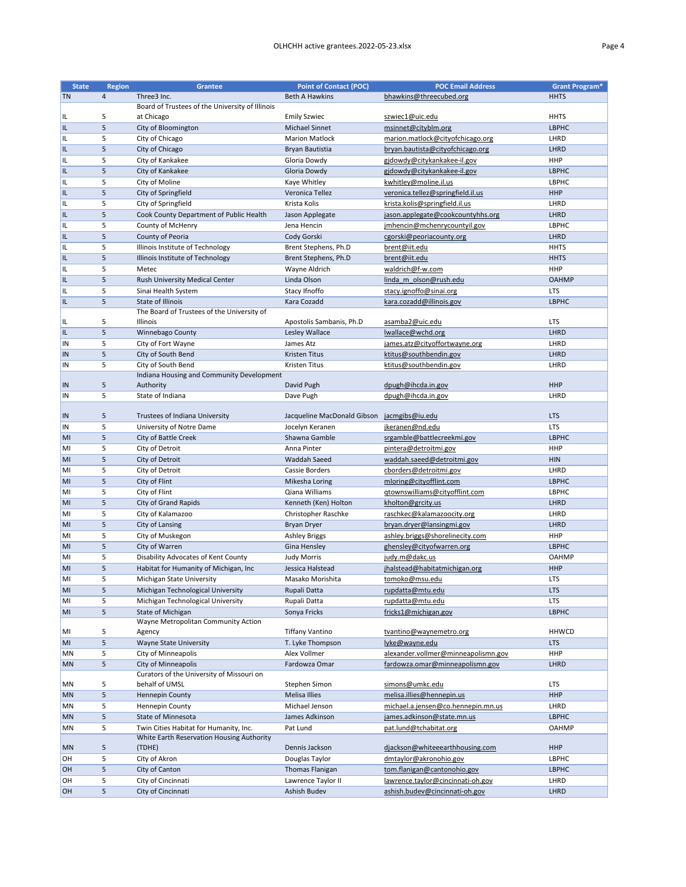| <b>State</b>    | <b>Region</b> | <b>Grantee</b>                                  | <b>Point of Contact (POC)</b>               | <b>POC Email Address</b>            | <b>Grant Program*</b> |
|-----------------|---------------|-------------------------------------------------|---------------------------------------------|-------------------------------------|-----------------------|
| <b>TN</b>       | 4             | Three3 Inc.                                     | <b>Beth A Hawkins</b>                       | bhawkins@threecubed.org             | <b>HHTS</b>           |
|                 |               | Board of Trustees of the University of Illinois |                                             |                                     |                       |
|                 | 5             | at Chicago                                      | <b>Emily Szwiec</b>                         | szwiec1@uic.edu                     | <b>HHTS</b>           |
| IL.             |               |                                                 |                                             |                                     |                       |
| IL.             | 5             | City of Bloomington                             | <b>Michael Sinnet</b>                       | msinnet@cityblm.org                 | <b>LBPHC</b>          |
| IL.             | 5             | City of Chicago                                 | <b>Marion Matlock</b>                       | marion.matlock@cityofchicago.org    | LHRD                  |
| IL              | 5             | City of Chicago                                 | Bryan Bautistia                             | bryan.bautista@cityofchicago.org    | LHRD                  |
| IL              | 5             | City of Kankakee                                | Gloria Dowdy                                | gjdowdy@citykankakee-il.gov         | <b>HHP</b>            |
| IL              | 5             | City of Kankakee                                | Gloria Dowdy                                | gjdowdy@citykankakee-il.gov         | <b>LBPHC</b>          |
| IL.             | 5             | City of Moline                                  | Kaye Whitley                                | kwhitley@moline.il.us               | LBPHC                 |
| IL              | 5             | City of Springfield                             | Veronica Tellez                             | veronica.tellez@springfield.il.us   | <b>HHP</b>            |
| IL              | 5             | City of Springfield                             | Krista Kolis                                | krista.kolis@springfield.il.us      | LHRD                  |
|                 |               |                                                 |                                             |                                     | LHRD                  |
| IL              | 5             | Cook County Department of Public Health         | Jason Applegate                             | jason.applegate@cookcountyhhs.org   |                       |
| IL              | 5             | County of McHenry                               | Jena Hencin                                 | jmhencin@mchenrycountyil.gov        | <b>LBPHC</b>          |
| IL              | 5             | County of Peoria                                | Cody Gorski                                 | cgorski@peoriacounty.org            | LHRD                  |
| IL              | 5             | Illinois Institute of Technology                | Brent Stephens, Ph.D                        | brent@iit.edu                       | <b>HHTS</b>           |
| IL              | 5             | Illinois Institute of Technology                | Brent Stephens, Ph.D                        | brent@iit.edu                       | <b>HHTS</b>           |
| IL              | 5             | Metec                                           | Wayne Aldrich                               | waldrich@f-w.com                    | <b>HHP</b>            |
| IL.             | 5             | Rush University Medical Center                  | Linda Olson                                 | linda m olson@rush.edu              | <b>OAHMP</b>          |
| IL              | 5             | Sinai Health System                             | Stacy Ifnoffo                               | stacy.ignoffo@sinai.org             | <b>LTS</b>            |
| IL.             | 5             | <b>State of Illinois</b>                        | Kara Cozadd                                 | kara.cozadd@illinois.gov            | <b>LBPHC</b>          |
|                 |               | The Board of Trustees of the University of      |                                             |                                     |                       |
|                 | 5             | Illinois                                        | Apostolis Sambanis, Ph.D                    | asamba2@uic.edu                     | <b>LTS</b>            |
| IL.             |               |                                                 |                                             |                                     |                       |
| IL              | 5             | Winnebago County                                | Lesley Wallace                              | lwallace@wchd.org                   | LHRD                  |
| <b>IN</b>       | 5             | City of Fort Wayne                              | James Atz                                   | james.atz@cityoffortwayne.org       | LHRD                  |
| IN              | 5             | City of South Bend                              | <b>Kristen Titus</b>                        | ktitus@southbendin.gov              | LHRD                  |
| IN              | 5             | City of South Bend                              | Kristen Titus                               | ktitus@southbendin.gov              | LHRD                  |
|                 |               | Indiana Housing and Community Development       |                                             |                                     |                       |
| <b>IN</b>       | 5             | Authority                                       | David Pugh                                  | dpugh@ihcda.in.gov                  | <b>HHP</b>            |
| IN              | 5             | State of Indiana                                | Dave Pugh                                   | dpugh@ihcda.in.gov                  | LHRD                  |
|                 |               |                                                 |                                             |                                     |                       |
| $\vert$ IN      | 5             | Trustees of Indiana University                  | Jacqueline MacDonald Gibson jacmgibs@iu.edu |                                     | <b>LTS</b>            |
| IN <sub>1</sub> | 5             | University of Notre Dame                        | Jocelyn Keranen                             | jkeranen@nd.edu                     | <b>LTS</b>            |
| MI              | 5             | City of Battle Creek                            | Shawna Gamble                               | srgamble@battlecreekmi.gov          | <b>LBPHC</b>          |
| MI              | 5             | City of Detroit                                 | Anna Pinter                                 | pintera@detroitmi.gov               | <b>HHP</b>            |
|                 |               |                                                 |                                             |                                     |                       |
| MI              | 5             | City of Detroit                                 | <b>Waddah Saeed</b>                         | waddah.saeed@detroitmi.gov          | <b>HIN</b>            |
| MI              | 5             | City of Detroit                                 | Cassie Borders                              | cborders@detroitmi.gov              | LHRD                  |
| MI              | 5             | City of Flint                                   | Mikesha Loring                              | mloring@cityofflint.com             | <b>LBPHC</b>          |
| MI              | 5             | City of Flint                                   | Qiana Williams                              | gtownswilliams@cityofflint.com      | LBPHC                 |
| MI              | 5             | <b>City of Grand Rapids</b>                     | Kenneth (Ken) Holton                        | kholton@grcity.us                   | LHRD                  |
| MI              | 5             | City of Kalamazoo                               | Christopher Raschke                         | raschkec@kalamazoocity.org          | LHRD                  |
| MI              | 5             | City of Lansing                                 | <b>Bryan Dryer</b>                          | bryan.dryer@lansingmi.gov           | LHRD                  |
| MI              | 5             | City of Muskegon                                | <b>Ashley Briggs</b>                        | ashley.briggs@shorelinecity.com     | <b>HHP</b>            |
| MI              | 5             | City of Warren                                  |                                             | ghensley@cityofwarren.org           | <b>LBPHC</b>          |
|                 |               |                                                 | Gina Hensley                                |                                     |                       |
| MI              | 5             | Disability Advocates of Kent County             | <b>Judy Morris</b>                          | judy.m@dakc.us                      | <b>OAHMP</b>          |
| M               | 5             | Habitat for Humanity of Michigan, Inc           | Jessica Halstead                            | jhalstead@habitatmichigan.org       | <b>HHP</b>            |
| MI              | 5             | Michigan State University                       | Masako Morishita                            | tomoko@msu.edu                      | <b>LTS</b>            |
| MI              | 5             | Michigan Technological University               | Rupali Datta                                | rupdatta@mtu.edu                    | <b>LTS</b>            |
| MI              | 5             | Michigan Technological University               | Rupali Datta                                | rupdatta@mtu.edu                    | <b>LTS</b>            |
| MI              | 5             | State of Michigan                               | Sonya Fricks                                | fricks1@michigan.gov                | <b>LBPHC</b>          |
|                 |               | Wayne Metropolitan Community Action             |                                             |                                     |                       |
| MI              | 5             | Agency                                          | <b>Tiffany Vantino</b>                      | tvantino@waynemetro.org             | <b>HHWCD</b>          |
| MI              | 5             | <b>Wayne State University</b>                   | T. Lyke Thompson                            | lyke@wayne.edu                      | <b>LTS</b>            |
| MN              | 5             | City of Minneapolis                             | Alex Vollmer                                | alexander.vollmer@minneapolismn.gov | <b>HHP</b>            |
| <b>MN</b>       | 5             | City of Minneapolis                             | Fardowza Omar                               |                                     | LHRD                  |
|                 |               |                                                 |                                             | fardowza.omar@minneapolismn.gov     |                       |
|                 |               | Curators of the University of Missouri on       |                                             |                                     |                       |
| <b>MN</b>       | 5             | behalf of UMSL                                  | Stephen Simon                               | simons@umkc.edu                     | <b>LTS</b>            |
| <b>MN</b>       | 5             | Hennepin County                                 | <b>Melisa Illies</b>                        | melisa.illies@hennepin.us           | <b>HHP</b>            |
| MN              | 5             | Hennepin County                                 | Michael Jenson                              | michael.a.jensen@co.hennepin.mn.us  | LHRD                  |
| <b>MN</b>       | 5             | State of Minnesota                              | James Adkinson                              | james.adkinson@state.mn.us          | <b>LBPHC</b>          |
| MN              | 5             | Twin Cities Habitat for Humanity, Inc.          | Pat Lund                                    | pat.lund@tchabitat.org              | <b>OAHMP</b>          |
|                 |               | White Earth Reservation Housing Authority       |                                             |                                     |                       |
| <b>MN</b>       | 5             | (TDHE)                                          | Dennis Jackson                              | diackson@whiteeearthhousing.com     | <b>HHP</b>            |
| OH              | 5             | City of Akron                                   | Douglas Taylor                              | dmtaylor@akronohio.gov              | LBPHC                 |
| OH              | 5             | City of Canton                                  | <b>Thomas Flanigan</b>                      | tom.flanigan@cantonohio.gov         | <b>LBPHC</b>          |
| OH              | 5             | City of Cincinnati                              | Lawrence Taylor II                          | lawrence.taylor@cincinnati-oh.gov   | LHRD                  |
| <b>OH</b>       | 5             | City of Cincinnati                              | Ashish Budev                                | ashish.budev@cincinnati-oh.gov      | LHRD                  |
|                 |               |                                                 |                                             |                                     |                       |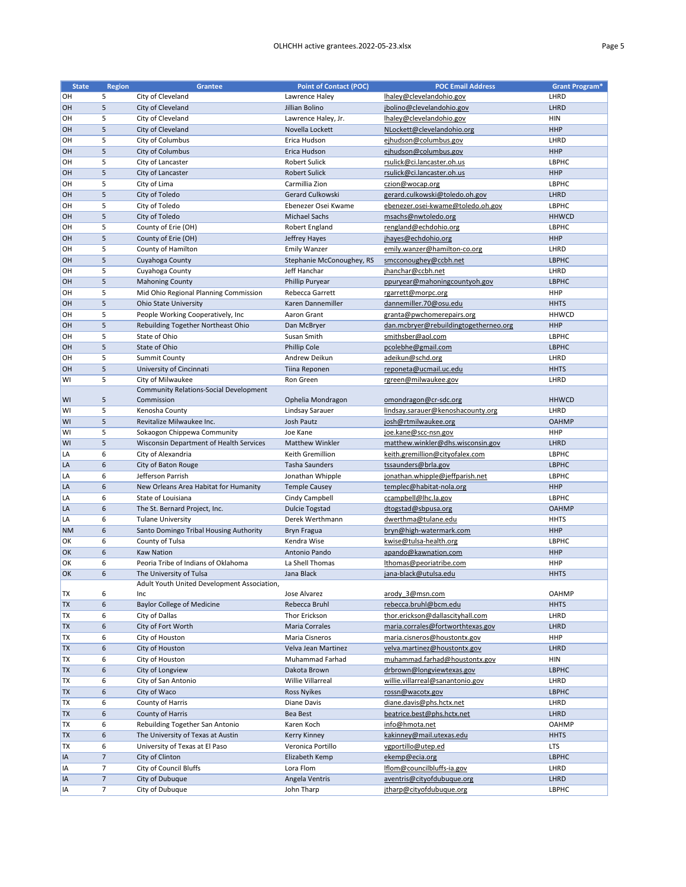| <b>State</b> | <b>Region</b>    | <b>Grantee</b>                                              | <b>Point of Contact (POC)</b> | <b>POC Email Address</b>              | <b>Grant Program*</b>      |
|--------------|------------------|-------------------------------------------------------------|-------------------------------|---------------------------------------|----------------------------|
| OH           | 5                | City of Cleveland                                           | Lawrence Haley                | lhaley@clevelandohio.gov              | LHRD                       |
| OH           | 5                | City of Cleveland                                           | Jillian Bolino                | jbolino@clevelandohio.gov             | LHRD                       |
| OH           | 5                | City of Cleveland                                           | Lawrence Haley, Jr.           | lhaley@clevelandohio.gov              | <b>HIN</b>                 |
| <b>OH</b>    | 5                | City of Cleveland                                           | Novella Lockett               | NLockett@clevelandohio.org            | <b>HHP</b>                 |
| <b>OH</b>    | 5                | City of Columbus                                            | Erica Hudson                  | ejhudson@columbus.gov                 | LHRD                       |
| OH           | 5                | City of Columbus                                            | Erica Hudson                  | ejhudson@columbus.gov                 | <b>HHP</b>                 |
| OH           | 5                | City of Lancaster                                           | <b>Robert Sulick</b>          | rsulick@ci.lancaster.oh.us            | <b>LBPHC</b>               |
| <b>OH</b>    | 5                | City of Lancaster                                           | <b>Robert Sulick</b>          | rsulick@ci.lancaster.oh.us            | <b>HHP</b>                 |
| OH           | 5                | City of Lima                                                | Carmillia Zion                | czion@wocap.org                       | <b>LBPHC</b>               |
| OH           | 5                | City of Toledo                                              | Gerard Culkowski              | gerard.culkowski@toledo.oh.gov        | LHRD                       |
| OH           | 5                | City of Toledo                                              | Ebenezer Osei Kwame           | ebenezer.osei-kwame@toledo.oh.gov     | <b>LBPHC</b>               |
| <b>OH</b>    | 5                | City of Toledo                                              | <b>Michael Sachs</b>          | msachs@nwtoledo.org                   | <b>HHWCD</b>               |
| OH           | 5                | County of Erie (OH)                                         | Robert England                | rengland@echdohio.org                 | <b>LBPHC</b>               |
| OH           | 5                | County of Erie (OH)                                         | Jeffrey Hayes                 | jhayes@echdohio.org                   | <b>HHP</b>                 |
| OH           | 5                | County of Hamilton                                          | <b>Emily Wanzer</b>           | emily.wanzer@hamilton-co.org          | LHRD                       |
| <b>OH</b>    | 5                | Cuyahoga County                                             | Stephanie McConoughey, RS     | smcconoughey@ccbh.net                 | <b>LBPHC</b>               |
| OH           | 5                | Cuyahoga County                                             | Jeff Hanchar                  | jhanchar@ccbh.net                     | LHRD                       |
| OH           | 5                | <b>Mahoning County</b>                                      | Phillip Puryear               | ppuryear@mahoningcountyoh.gov         | <b>LBPHC</b>               |
| OH           | 5                | Mid Ohio Regional Planning Commission                       | Rebecca Garrett               | rgarrett@morpc.org                    | <b>HHP</b>                 |
| OH           | 5                | <b>Ohio State University</b>                                | Karen Dannemiller             |                                       | <b>HHTS</b>                |
|              |                  |                                                             |                               | dannemiller.70@osu.edu                |                            |
| OH           | 5                | People Working Cooperatively, Inc                           | Aaron Grant                   | granta@pwchomerepairs.org             | <b>HHWCD</b><br><b>HHP</b> |
| <b>OH</b>    | 5                | Rebuilding Together Northeast Ohio                          | Dan McBryer                   | dan.mcbryer@rebuildingtogetherneo.org |                            |
| OH           | 5                | State of Ohio                                               | Susan Smith                   | smithsber@aol.com                     | <b>LBPHC</b>               |
| <b>OH</b>    | 5                | State of Ohio                                               | Phillip Cole                  | pcolebhe@gmail.com                    | <b>LBPHC</b>               |
| <b>OH</b>    | 5                | <b>Summit County</b>                                        | Andrew Deikun                 | adeikun@schd.org                      | LHRD                       |
| <b>OH</b>    | 5                | University of Cincinnati                                    | Tiina Reponen                 | reponeta@ucmail.uc.edu                | <b>HHTS</b>                |
| WI           | 5                | City of Milwaukee                                           | Ron Green                     | rgreen@milwaukee.gov                  | LHRD                       |
| WI           |                  | <b>Community Relations-Social Development</b><br>Commission |                               | omondragon@cr-sdc.org                 | <b>HHWCD</b>               |
|              | 5                |                                                             | Ophelia Mondragon             |                                       |                            |
| WI           | 5                | Kenosha County                                              | Lindsay Sarauer               | lindsay.sarauer@kenoshacounty.org     | LHRD                       |
| WI           | 5                | Revitalize Milwaukee Inc.                                   | Josh Pautz                    | josh@rtmilwaukee.org                  | <b>OAHMP</b>               |
| WI           | 5                | Sokaogon Chippewa Community                                 | Joe Kane                      | joe.kane@scc-nsn.gov                  | <b>HHP</b>                 |
| WI           | 5                | Wisconsin Department of Health Services                     | <b>Matthew Winkler</b>        | matthew.winkler@dhs.wisconsin.gov     | LHRD                       |
| LA           | 6                | City of Alexandria                                          | Keith Gremillion              | keith.gremillion@cityofalex.com       | <b>LBPHC</b>               |
| LA           | 6                | City of Baton Rouge                                         | <b>Tasha Saunders</b>         | tssaunders@brla.gov                   | <b>LBPHC</b>               |
| LA           | 6                | Jefferson Parrish                                           | Jonathan Whipple              | jonathan.whipple@jeffparish.net       | <b>LBPHC</b>               |
| LA           | 6                | New Orleans Area Habitat for Humanity                       | <b>Temple Causey</b>          | templec@habitat-nola.org              | <b>HHP</b>                 |
| LA           | 6                | State of Louisiana                                          | Cindy Campbell                | ccampbell@lhc.la.gov                  | <b>LBPHC</b>               |
| LA           | 6                | The St. Bernard Project, Inc.                               | <b>Dulcie Togstad</b>         | dtogstad@sbpusa.org                   | <b>OAHMP</b>               |
| LA           | 6                | <b>Tulane University</b>                                    | Derek Werthmann               | dwerthma@tulane.edu                   | <b>HHTS</b>                |
| <b>NM</b>    | 6                | Santo Domingo Tribal Housing Authority                      | <b>Bryn Fragua</b>            | bryn@high-watermark.com               | <b>HHP</b>                 |
| OK           | 6                | County of Tulsa                                             | Kendra Wise                   | kwise@tulsa-health.org                | <b>LBPHC</b>               |
| <b>OK</b>    | 6                | <b>Kaw Nation</b>                                           | Antonio Pando                 | apando@kawnation.com                  | <b>HHP</b>                 |
| OK           | 6                | Peoria Tribe of Indians of Oklahoma                         | La Shell Thomas               | Ithomas@peoriatribe.com               | <b>HHP</b>                 |
| <b>OK</b>    | $\boldsymbol{6}$ | The University of Tulsa                                     | Jana Black                    | jana-black@utulsa.edu                 | <b>HHTS</b>                |
|              |                  | Adult Youth United Development Association,                 |                               |                                       |                            |
| <b>TX</b>    | 6                | Inc                                                         | Jose Alvarez                  | arody 3@msn.com                       | <b>OAHMP</b>               |
| <b>TX</b>    | 6                | <b>Baylor College of Medicine</b>                           | Rebecca Bruhl                 | rebecca.bruhl@bcm.edu                 | <b>HHTS</b>                |
| <b>TX</b>    | 6                | City of Dallas                                              | Thor Erickson                 | thor.erickson@dallascityhall.com      | LHRD                       |
| <b>TX</b>    | 6                | City of Fort Worth                                          | <b>Maria Corrales</b>         | maria.corrales@fortworthtexas.gov     | LHRD                       |
| <b>TX</b>    | 6                | City of Houston                                             | Maria Cisneros                | maria.cisneros@houstontx.gov          | <b>HHP</b>                 |
| <b>TX</b>    | 6                | City of Houston                                             | Velva Jean Martinez           | velva.martinez@houstontx.gov          | LHRD                       |
| <b>TX</b>    | 6                | City of Houston                                             | Muhammad Farhad               | muhammad.farhad@houstontx.gov         | <b>HIN</b>                 |
| <b>TX</b>    | $\boldsymbol{6}$ | City of Longview                                            | Dakota Brown                  | drbrown@longviewtexas.gov             | <b>LBPHC</b>               |
| <b>TX</b>    | 6                | City of San Antonio                                         | Willie Villarreal             | willie.villarreal@sanantonio.gov      | LHRD                       |

| <b>TX</b>  | b | City of Waco                      | <b>Ross Nyikes</b> | rossn@wacotx.gov           | <b>LBPHC</b> |
|------------|---|-----------------------------------|--------------------|----------------------------|--------------|
| <b>TX</b>  | 6 | County of Harris                  | Diane Davis        | diane.davis@phs.hctx.net   | LHRD         |
| <b>ITX</b> | 6 | County of Harris                  | Bea Best           | beatrice.best@phs.hctx.net | <b>LHRD</b>  |
| 'TX        | b | Rebuilding Together San Antonio   | Karen Koch         | info@hmota.net             | <b>OAHMP</b> |
| <b>TX</b>  | 6 | The University of Texas at Austin | Kerry Kinney       | kakinney@mail.utexas.edu   | <b>HHTS</b>  |
| 'TX        | 6 | University of Texas at El Paso    | Veronica Portillo  | vgportillo@utep.ed         | <b>LTS</b>   |
| <b>IIA</b> |   | City of Clinton                   | Elizabeth Kemp     | ekemp@ecia.org             | <b>LBPHC</b> |
| <b>IIA</b> |   | City of Council Bluffs            | Lora Flom          | Iflom@councilbluffs-ia.gov | LHRD         |
| <b>IIA</b> |   | City of Dubuque                   | Angela Ventris     | aventris@cityofdubuque.org | <b>LHRD</b>  |
| lIA        |   | City of Dubuque                   | John Tharp         | jtharp@cityofdubuque.org   | <b>LBPHC</b> |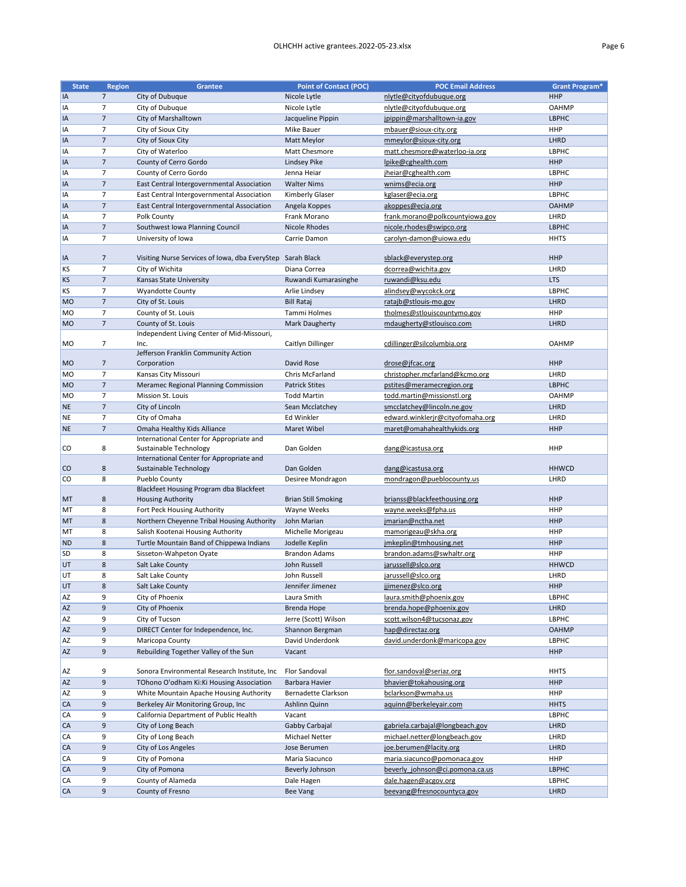| <b>State</b>   | <b>Region</b>   | <b>Grantee</b>                                             | <b>Point of Contact (POC)</b> | <b>POC Email Address</b>         | <b>Grant Program*</b> |
|----------------|-----------------|------------------------------------------------------------|-------------------------------|----------------------------------|-----------------------|
| <b>IA</b>      | 7 <sup>7</sup>  | City of Dubuque                                            | Nicole Lytle                  | nlytle@cityofdubuque.org         | <b>HHP</b>            |
| <b>IA</b>      | 7               | City of Dubuque                                            | Nicole Lytle                  | nlytle@cityofdubuque.org         | <b>OAHMP</b>          |
| <b>IA</b>      | $\overline{7}$  | City of Marshalltown                                       | Jacqueline Pippin             | jpippin@marshalltown-ia.gov      | <b>LBPHC</b>          |
| IA             | 7               | City of Sioux City                                         | Mike Bauer                    | mbauer@sioux-city.org            | <b>HHP</b>            |
| <b>IA</b>      | $\overline{7}$  | City of Sioux City                                         | Matt Meylor                   | mmeylor@sioux-city.org           | LHRD                  |
| IA             | $\overline{7}$  | City of Waterloo                                           | Matt Chesmore                 | matt.chesmore@waterloo-ia.org    | <b>LBPHC</b>          |
| <b>IA</b>      | $\overline{7}$  | County of Cerro Gordo                                      | Lindsey Pike                  | lpike@cghealth.com               | <b>HHP</b>            |
| IA             | $\overline{7}$  | County of Cerro Gordo                                      | Jenna Heiar                   | jheiar@cghealth.com              | <b>LBPHC</b>          |
| IA             | $\overline{7}$  | East Central Intergovernmental Association                 | <b>Walter Nims</b>            | wnims@ecia.org                   | <b>HHP</b>            |
| <b>IA</b>      | $\overline{7}$  | East Central Intergovernmental Association                 | Kimberly Glaser               | kglaser@ecia.org                 | <b>LBPHC</b>          |
| <b>IA</b>      | $\overline{7}$  | East Central Intergovernmental Association                 | Angela Koppes                 | akoppes@ecia.org                 | <b>OAHMP</b>          |
| <b>IA</b>      | 7               | Polk County                                                | Frank Morano                  | frank.morano@polkcountyiowa.gov  | LHRD                  |
| <b>IA</b>      | $\overline{7}$  | Southwest Iowa Planning Council                            | <b>Nicole Rhodes</b>          | nicole.rhodes@swipco.org         | <b>LBPHC</b>          |
| <b>IA</b>      | $\overline{7}$  | University of Iowa                                         | Carrie Damon                  | carolyn-damon@uiowa.edu          | <b>HHTS</b>           |
|                |                 |                                                            |                               |                                  |                       |
| <b>IA</b>      | 7               | Visiting Nurse Services of Iowa, dba EveryStep Sarah Black |                               | sblack@everystep.org             | <b>HHP</b>            |
| <b>KS</b>      | $\overline{7}$  | City of Wichita                                            | Diana Correa                  | dcorrea@wichita.gov              | LHRD                  |
| <b>KS</b>      | $\overline{7}$  | Kansas State University                                    | Ruwandi Kumarasinghe          | ruwandi@ksu.edu                  | <b>LTS</b>            |
| <b>KS</b>      | $\overline{7}$  | <b>Wyandotte County</b>                                    | Arlie Lindsey                 | alindsey@wycokck.org             | <b>LBPHC</b>          |
| MO             | $\overline{7}$  | City of St. Louis                                          | <b>Bill Rataj</b>             | ratajb@stlouis-mo.gov            | LHRD                  |
| M <sub>O</sub> | $\overline{7}$  | County of St. Louis                                        | Tammi Holmes                  | tholmes@stlouiscountymo.gov      | <b>HHP</b>            |
| <b>MO</b>      | $\overline{7}$  | County of St. Louis                                        | Mark Daugherty                | mdaugherty@stlouisco.com         | LHRD                  |
|                |                 | Independent Living Center of Mid-Missouri,                 |                               |                                  |                       |
| <b>MO</b>      | 7               | Inc.                                                       | Caitlyn Dillinger             | cdillinger@silcolumbia.org       | <b>OAHMP</b>          |
|                |                 | Jefferson Franklin Community Action                        |                               |                                  |                       |
| MO             | 7               | Corporation                                                | David Rose                    | drose@jfcac.org                  | <b>HHP</b>            |
| <b>MO</b>      | $\overline{7}$  | Kansas City Missouri                                       | Chris McFarland               | christopher.mcfarland@kcmo.org   | LHRD                  |
| <b>MO</b>      | $7\overline{ }$ | Meramec Regional Planning Commission                       | <b>Patrick Stites</b>         | pstites@meramecregion.org        | <b>LBPHC</b>          |
| M <sub>O</sub> | $\overline{7}$  | <b>Mission St. Louis</b>                                   | <b>Todd Martin</b>            | todd.martin@missionstl.org       | <b>OAHMP</b>          |
| <b>NE</b>      | $\overline{7}$  | City of Lincoln                                            | Sean Mcclatchey               | smcclatchey@lincoln.ne.gov       | LHRD                  |
| <b>NE</b>      | $\overline{7}$  | City of Omaha                                              | Ed Winkler                    | edward.winklerjr@cityofomaha.org | LHRD                  |
| <b>NE</b>      | $\overline{7}$  | Omaha Healthy Kids Alliance                                | Maret Wibel                   | maret@omahahealthykids.org       | <b>HHP</b>            |
|                |                 | International Center for Appropriate and                   |                               |                                  |                       |
| <b>CO</b>      | 8               | Sustainable Technology                                     | Dan Golden                    | dang@icastusa.org                | <b>HHP</b>            |
|                |                 | International Center for Appropriate and                   |                               |                                  |                       |
| <b>CO</b>      | 8               | Sustainable Technology                                     | Dan Golden                    | dang@icastusa.org                | <b>HHWCD</b>          |
| <b>CO</b>      | 8               | Pueblo County                                              | Desiree Mondragon             | mondragon@pueblocounty.us        | LHRD                  |
|                |                 | Blackfeet Housing Program dba Blackfeet                    |                               |                                  |                       |
| <b>MT</b>      | 8               | <b>Housing Authority</b>                                   | <b>Brian Still Smoking</b>    | brianss@blackfeethousing.org     | <b>HHP</b>            |
| MT             | 8               | Fort Peck Housing Authority                                | Wayne Weeks                   | wayne.weeks@fpha.us              | <b>HHP</b>            |
| MT             | 8               | Northern Cheyenne Tribal Housing Authority                 | John Marian                   | jmarian@nctha.net                | <b>HHP</b>            |
| MT             | 8               | Salish Kootenai Housing Authority                          | Michelle Morigeau             | mamorigeau@skha.org              | <b>HHP</b>            |
| <b>ND</b>      | 8               | Turtle Mountain Band of Chippewa Indians                   | Jodelle Keplin                | imkeplin@tmhousing.net           | <b>HHP</b>            |
| <b>SD</b>      | 8               | Sisseton-Wahpeton Oyate                                    | <b>Brandon Adams</b>          | brandon.adams@swhaltr.org        | <b>HHP</b>            |
| UT             | 8               | Salt Lake County                                           | John Russell                  | jarussell@slco.org               | <b>HHWCD</b>          |
| <b>UT</b>      | 8               | Salt Lake County                                           | John Russell                  | jarussell@slco.org               | LHRD                  |
| UT             | 8               | Salt Lake County                                           | Jennifer Jimenez              | jjimenez@slco.org                | <b>HHP</b>            |
| <b>AZ</b>      | 9               | City of Phoenix                                            | Laura Smith                   | laura.smith@phoenix.gov          | <b>LBPHC</b>          |
| <b>AZ</b>      | 9               | City of Phoenix                                            | <b>Brenda Hope</b>            | brenda.hope@phoenix.gov          | LHRD                  |
| <b>AZ</b>      | 9               | City of Tucson                                             | Jerre (Scott) Wilson          | scott.wilson4@tucsonaz.gov       | <b>LBPHC</b>          |
| <b>AZ</b>      | 9               | DIRECT Center for Independence, Inc.                       | Shannon Bergman               | hap@directaz.org                 | <b>OAHMP</b>          |
| <b>AZ</b>      | 9               | Maricopa County                                            | David Underdonk               | david.underdonk@maricopa.gov     | LBPHC                 |
| <b>AZ</b>      | 9               | Rebuilding Together Valley of the Sun                      | Vacant                        |                                  | <b>HHP</b>            |
|                |                 |                                                            |                               |                                  |                       |
| <b>AZ</b>      | 9               | Sonora Environmental Research Institute, Inc               | <b>Flor Sandoval</b>          | flor.sandoval@seriaz.org         | <b>HHTS</b>           |
| <b>AZ</b>      | 9               | TOhono O'odham Ki:Ki Housing Association                   | Barbara Havier                | bhavier@tokahousing.org          | <b>HHP</b>            |

| <b>AZ</b> | 9 | White Mountain Apache Housing Authority | Bernadette Clarkson   | bclarkson@wmaha.us              | <b>HHP</b>   |
|-----------|---|-----------------------------------------|-----------------------|---------------------------------|--------------|
| <b>CA</b> | 9 | Berkeley Air Monitoring Group, Inc      | Ashlinn Quinn         | aquinn@berkeleyair.com          | <b>HHTS</b>  |
| CA        | 9 | California Department of Public Health  | Vacant                |                                 | <b>LBPHC</b> |
| <b>CA</b> | 9 | City of Long Beach                      | Gabby Carbajal        | gabriela.carbajal@longbeach.gov | LHRD         |
| CA        | 9 | City of Long Beach                      | <b>Michael Netter</b> | michael.netter@longbeach.gov    | LHRD         |
| <b>CA</b> | 9 | City of Los Angeles                     | Jose Berumen          | joe.berumen@lacity.org          | LHRD         |
| CA        | 9 | City of Pomona                          | Maria Siacunco        | maria.siacunco@pomonaca.gov     | <b>HHP</b>   |
| <b>CA</b> | 9 | City of Pomona                          | Beverly Johnson       | beverly johnson@ci.pomona.ca.us | <b>LBPHC</b> |
| CA        | 9 | County of Alameda                       | Dale Hagen            | dale.hagen@acgov.org            | <b>LBPHC</b> |
| <b>CA</b> | 9 | County of Fresno                        | Bee Vang              | beevang@fresnocountyca.gov      | LHRD         |